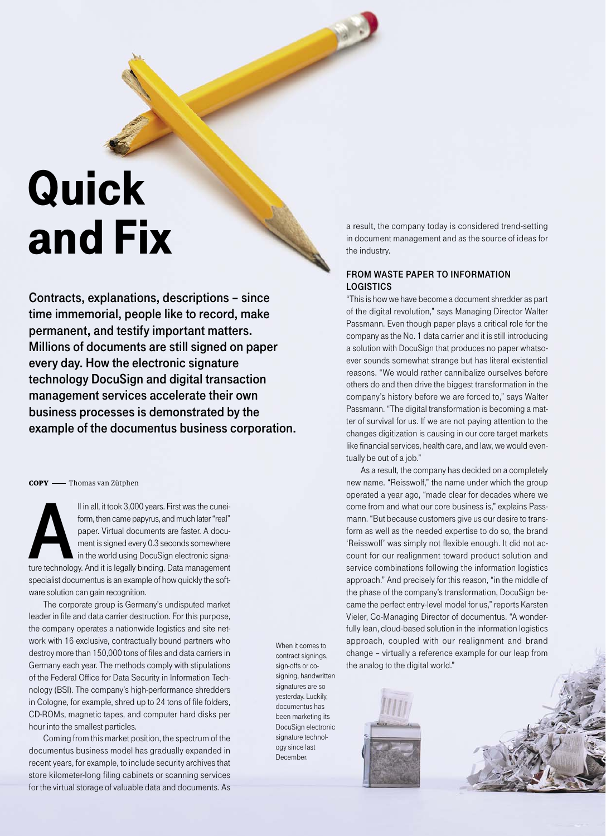## Quick and Fix

Contracts, explanations, descriptions – since time immemorial, people like to record, make permanent, and testify important matters. Millions of documents are still signed on paper every day. How the electronic signature technology DocuSign and digital transaction management services accelerate their own business processes is demonstrated by the example of the documentus business corporation.

COPY - Thomas van Zütphen

II in all, it took 3,000 years. First was the cunei-<br>form, then came papyrus, and much later "real"<br>paper. Virtual documents are faster. A docu-<br>ment is signed every 0.3 seconds somewhere<br>in the world using DocuSign electr form, then came papyrus, and much later "real" paper. Virtual documents are faster. A document is signed every 0.3 seconds somewhere in the world using DocuSign electronic signaspecialist documentus is an example of how quickly the software solution can gain recognition.

The corporate group is Germany's undisputed market leader in file and data carrier destruction. For this purpose, the company operates a nationwide logistics and site network with 16 exclusive, contractually bound partners who destroy more than 150,000 tons of files and data carriers in Germany each year. The methods comply with stipulations of the Federal Office for Data Security in Information Technology (BSI). The company's high-performance shredders in Cologne, for example, shred up to 24 tons of file folders, CD-ROMs, magnetic tapes, and computer hard disks per hour into the smallest particles.

Coming from this market position, the spectrum of the documentus business model has gradually expanded in recent years, for example, to include security archives that store kilometer-long filing cabinets or scanning services for the virtual storage of valuable data and documents. As When it comes to contract signings, sign-offs or cosigning, handwritten signatures are so yesterday. Luckily, documentus has been marketing its DocuSign electronic signature technology since last December.

a result, the company today is considered trend-setting in document management and as the source of ideas for the industry.

## FROM WASTE PAPER TO INFORMATION LOGISTICS

"This is how we have become a document shredder as part of the digital revolution," says Managing Director Walter Passmann. Even though paper plays a critical role for the company as the No. 1 data carrier and it is still introducing a solution with DocuSign that produces no paper whatsoever sounds somewhat strange but has literal existential reasons. "We would rather cannibalize ourselves before others do and then drive the biggest transformation in the company's history before we are forced to," says Walter Passmann. "The digital transformation is becoming a matter of survival for us. If we are not paying attention to the changes digitization is causing in our core target markets like financial services, health care, and law, we would eventually be out of a job."

As a result, the company has decided on a completely new name. "Reisswolf," the name under which the group operated a year ago, "made clear for decades where we come from and what our core business is," explains Passmann. "But because customers give us our desire to transform as well as the needed expertise to do so, the brand 'Reisswolf' was simply not flexible enough. It did not account for our realignment toward product solution and service combinations following the information logistics approach." And precisely for this reason, "in the middle of the phase of the company's transformation, DocuSign became the perfect entry-level model for us," reports Karsten Vieler, Co-Managing Director of documentus. "A wonderfully lean, cloud-based solution in the information logistics approach, coupled with our realignment and brand change – virtually a reference example for our leap from the analog to the digital world."